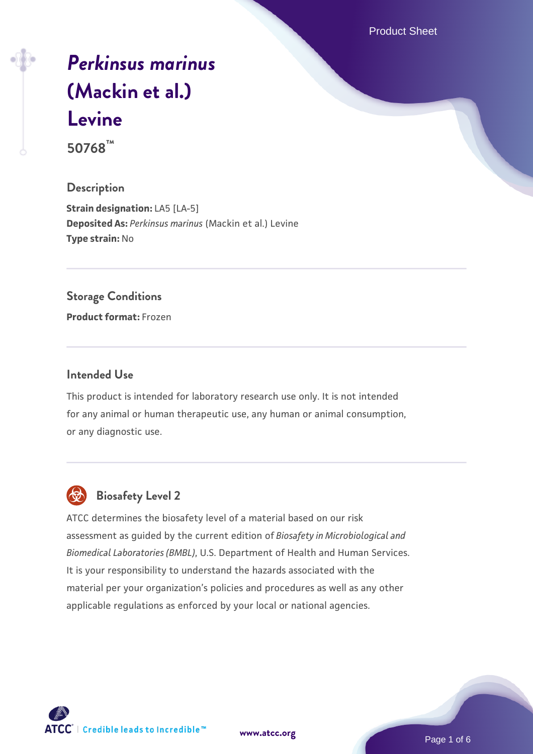Product Sheet

# *[Perkinsus marinus](https://www.atcc.org/products/50768)* **[\(Mackin et al.\)](https://www.atcc.org/products/50768) [Levine](https://www.atcc.org/products/50768)**

**50768™**

# **Description**

**Strain designation: LA5 [LA-5] Deposited As:** *Perkinsus marinus* (Mackin et al.) Levine **Type strain:** No

# **Storage Conditions**

**Product format:** Frozen

# **Intended Use**

This product is intended for laboratory research use only. It is not intended for any animal or human therapeutic use, any human or animal consumption, or any diagnostic use.



# **Biosafety Level 2**

ATCC determines the biosafety level of a material based on our risk assessment as guided by the current edition of *Biosafety in Microbiological and Biomedical Laboratories (BMBL)*, U.S. Department of Health and Human Services. It is your responsibility to understand the hazards associated with the material per your organization's policies and procedures as well as any other applicable regulations as enforced by your local or national agencies.

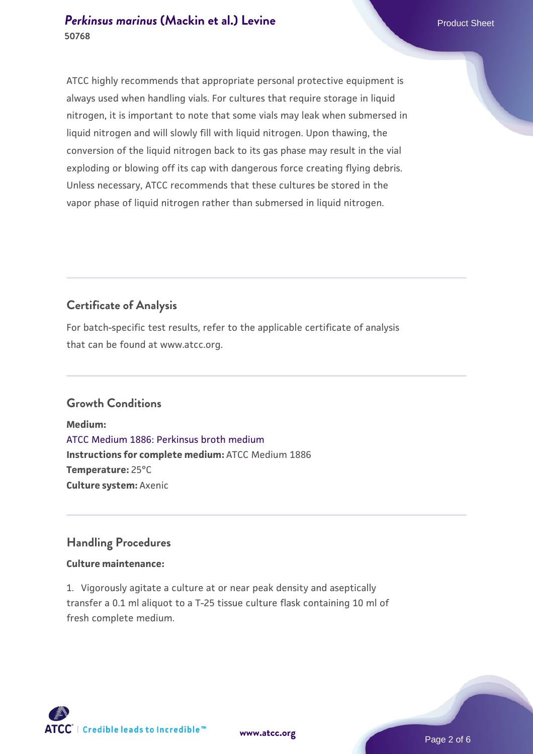# **[Perkinsus marinus](https://www.atcc.org/products/50768) [\(Mackin et al.\) Levine](https://www.atcc.org/products/50768)** Product Sheet **50768**

ATCC highly recommends that appropriate personal protective equipment is always used when handling vials. For cultures that require storage in liquid nitrogen, it is important to note that some vials may leak when submersed in liquid nitrogen and will slowly fill with liquid nitrogen. Upon thawing, the conversion of the liquid nitrogen back to its gas phase may result in the vial exploding or blowing off its cap with dangerous force creating flying debris. Unless necessary, ATCC recommends that these cultures be stored in the vapor phase of liquid nitrogen rather than submersed in liquid nitrogen.

# **Certificate of Analysis**

For batch-specific test results, refer to the applicable certificate of analysis that can be found at www.atcc.org.

# **Growth Conditions**

**Medium:**  [ATCC Medium 1886: Perkinsus broth medium](https://www.atcc.org/-/media/product-assets/documents/microbial-media-formulations/atcc-medium-1886.pdf?rev=3f191fd8ade443aca9e8e4826432baa3) **Instructions for complete medium:** ATCC Medium 1886 **Temperature:** 25°C **Culture system:** Axenic

# **Handling Procedures**

# **Culture maintenance:**

1. Vigorously agitate a culture at or near peak density and aseptically transfer a 0.1 ml aliquot to a T-25 tissue culture flask containing 10 ml of fresh complete medium.

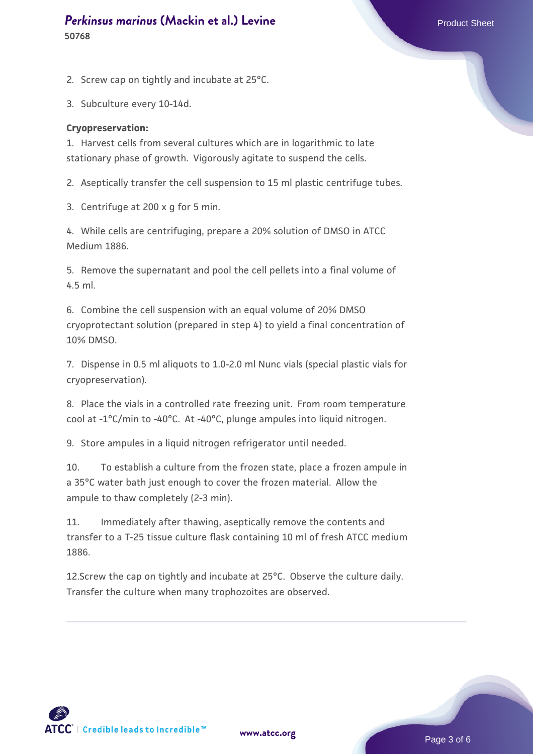# **[Perkinsus marinus](https://www.atcc.org/products/50768) [\(Mackin et al.\) Levine](https://www.atcc.org/products/50768)** Product Sheet **50768**

2. Screw cap on tightly and incubate at 25°C.

3. Subculture every 10-14d.

### **Cryopreservation:**

1. Harvest cells from several cultures which are in logarithmic to late stationary phase of growth. Vigorously agitate to suspend the cells.

2. Aseptically transfer the cell suspension to 15 ml plastic centrifuge tubes.

3. Centrifuge at 200 x g for 5 min.

4. While cells are centrifuging, prepare a 20% solution of DMSO in ATCC Medium 1886.

5. Remove the supernatant and pool the cell pellets into a final volume of 4.5 ml.

6. Combine the cell suspension with an equal volume of 20% DMSO cryoprotectant solution (prepared in step 4) to yield a final concentration of 10% DMSO.

7. Dispense in 0.5 ml aliquots to 1.0-2.0 ml Nunc vials (special plastic vials for cryopreservation).

8. Place the vials in a controlled rate freezing unit. From room temperature cool at -1°C/min to -40°C. At -40°C, plunge ampules into liquid nitrogen.

9. Store ampules in a liquid nitrogen refrigerator until needed.

10. To establish a culture from the frozen state, place a frozen ampule in a 35°C water bath just enough to cover the frozen material. Allow the ampule to thaw completely (2-3 min).

11. Immediately after thawing, aseptically remove the contents and transfer to a T-25 tissue culture flask containing 10 ml of fresh ATCC medium 1886.

12.Screw the cap on tightly and incubate at 25°C. Observe the culture daily. Transfer the culture when many trophozoites are observed.

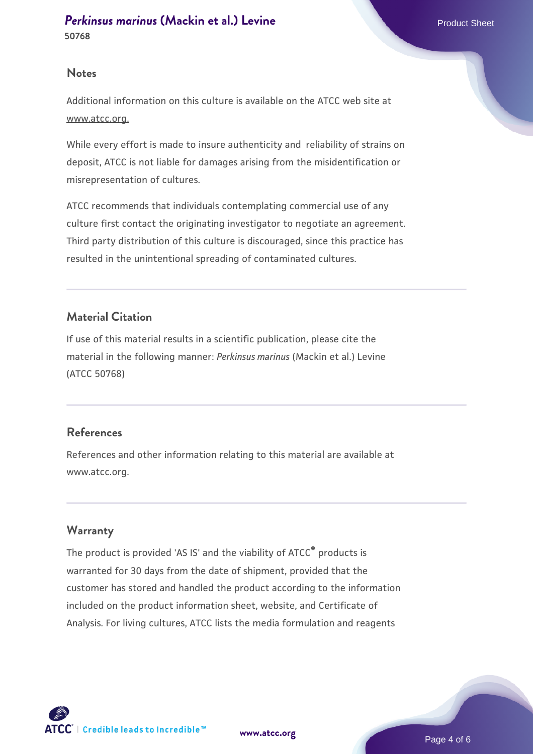## **Notes**

Additional information on this culture is available on the ATCC web site at www.atcc.org.

While every effort is made to insure authenticity and reliability of strains on deposit, ATCC is not liable for damages arising from the misidentification or misrepresentation of cultures.

ATCC recommends that individuals contemplating commercial use of any culture first contact the originating investigator to negotiate an agreement. Third party distribution of this culture is discouraged, since this practice has resulted in the unintentional spreading of contaminated cultures.

# **Material Citation**

If use of this material results in a scientific publication, please cite the material in the following manner: *Perkinsus marinus* (Mackin et al.) Levine (ATCC 50768)

# **References**

References and other information relating to this material are available at www.atcc.org.

# **Warranty**

The product is provided 'AS IS' and the viability of ATCC® products is warranted for 30 days from the date of shipment, provided that the customer has stored and handled the product according to the information included on the product information sheet, website, and Certificate of Analysis. For living cultures, ATCC lists the media formulation and reagents

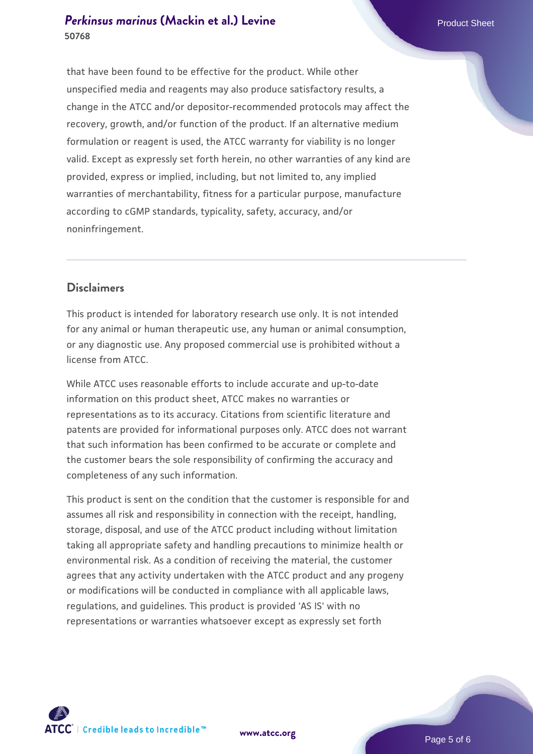# **[Perkinsus marinus](https://www.atcc.org/products/50768) [\(Mackin et al.\) Levine](https://www.atcc.org/products/50768)** Product Sheet **50768**

that have been found to be effective for the product. While other unspecified media and reagents may also produce satisfactory results, a change in the ATCC and/or depositor-recommended protocols may affect the recovery, growth, and/or function of the product. If an alternative medium formulation or reagent is used, the ATCC warranty for viability is no longer valid. Except as expressly set forth herein, no other warranties of any kind are provided, express or implied, including, but not limited to, any implied warranties of merchantability, fitness for a particular purpose, manufacture according to cGMP standards, typicality, safety, accuracy, and/or noninfringement.

# **Disclaimers**

This product is intended for laboratory research use only. It is not intended for any animal or human therapeutic use, any human or animal consumption, or any diagnostic use. Any proposed commercial use is prohibited without a license from ATCC.

While ATCC uses reasonable efforts to include accurate and up-to-date information on this product sheet, ATCC makes no warranties or representations as to its accuracy. Citations from scientific literature and patents are provided for informational purposes only. ATCC does not warrant that such information has been confirmed to be accurate or complete and the customer bears the sole responsibility of confirming the accuracy and completeness of any such information.

This product is sent on the condition that the customer is responsible for and assumes all risk and responsibility in connection with the receipt, handling, storage, disposal, and use of the ATCC product including without limitation taking all appropriate safety and handling precautions to minimize health or environmental risk. As a condition of receiving the material, the customer agrees that any activity undertaken with the ATCC product and any progeny or modifications will be conducted in compliance with all applicable laws, regulations, and guidelines. This product is provided 'AS IS' with no representations or warranties whatsoever except as expressly set forth



**[www.atcc.org](http://www.atcc.org)**

Page 5 of 6